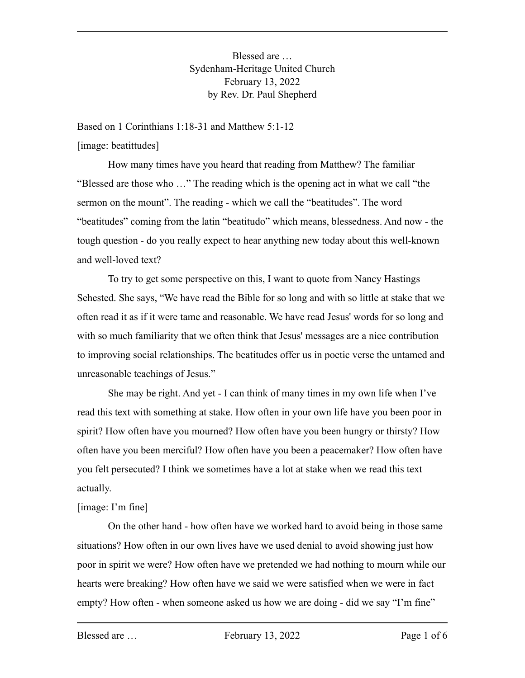Blessed are … Sydenham-Heritage United Church February 13, 2022 by Rev. Dr. Paul Shepherd

Based on 1 Corinthians 1:18-31 and Matthew 5:1-12 [image: beatittudes]

How many times have you heard that reading from Matthew? The familiar "Blessed are those who …" The reading which is the opening act in what we call "the sermon on the mount". The reading - which we call the "beatitudes". The word "beatitudes" coming from the latin "beatitudo" which means, blessedness. And now - the tough question - do you really expect to hear anything new today about this well-known and well-loved text?

To try to get some perspective on this, I want to quote from Nancy Hastings Sehested. She says, "We have read the Bible for so long and with so little at stake that we often read it as if it were tame and reasonable. We have read Jesus' words for so long and with so much familiarity that we often think that Jesus' messages are a nice contribution to improving social relationships. The beatitudes offer us in poetic verse the untamed and unreasonable teachings of Jesus."

She may be right. And yet - I can think of many times in my own life when I've read this text with something at stake. How often in your own life have you been poor in spirit? How often have you mourned? How often have you been hungry or thirsty? How often have you been merciful? How often have you been a peacemaker? How often have you felt persecuted? I think we sometimes have a lot at stake when we read this text actually.

## [image: I'm fine]

On the other hand - how often have we worked hard to avoid being in those same situations? How often in our own lives have we used denial to avoid showing just how poor in spirit we were? How often have we pretended we had nothing to mourn while our hearts were breaking? How often have we said we were satisfied when we were in fact empty? How often - when someone asked us how we are doing - did we say "I'm fine"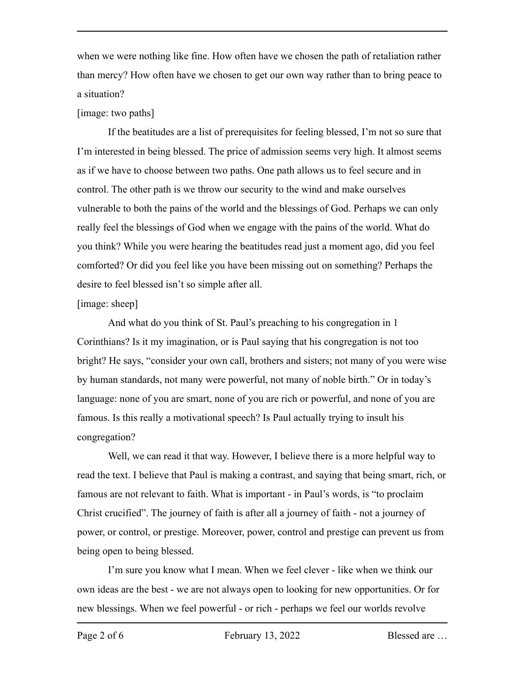when we were nothing like fine. How often have we chosen the path of retaliation rather than mercy? How often have we chosen to get our own way rather than to bring peace to a situation?

## [image: two paths]

If the beatitudes are a list of prerequisites for feeling blessed, I'm not so sure that I'm interested in being blessed. The price of admission seems very high. It almost seems as if we have to choose between two paths. One path allows us to feel secure and in control. The other path is we throw our security to the wind and make ourselves vulnerable to both the pains of the world and the blessings of God. Perhaps we can only really feel the blessings of God when we engage with the pains of the world. What do you think? While you were hearing the beatitudes read just a moment ago, did you feel comforted? Or did you feel like you have been missing out on something? Perhaps the desire to feel blessed isn't so simple after all.

# [image: sheep]

And what do you think of St. Paul's preaching to his congregation in 1 Corinthians? Is it my imagination, or is Paul saying that his congregation is not too bright? He says, "consider your own call, brothers and sisters; not many of you were wise by human standards, not many were powerful, not many of noble birth." Or in today's language: none of you are smart, none of you are rich or powerful, and none of you are famous. Is this really a motivational speech? Is Paul actually trying to insult his congregation?

Well, we can read it that way. However, I believe there is a more helpful way to read the text. I believe that Paul is making a contrast, and saying that being smart, rich, or famous are not relevant to faith. What is important - in Paul's words, is "to proclaim Christ crucified". The journey of faith is after all a journey of faith - not a journey of power, or control, or prestige. Moreover, power, control and prestige can prevent us from being open to being blessed.

I'm sure you know what I mean. When we feel clever - like when we think our own ideas are the best - we are not always open to looking for new opportunities. Or for new blessings. When we feel powerful - or rich - perhaps we feel our worlds revolve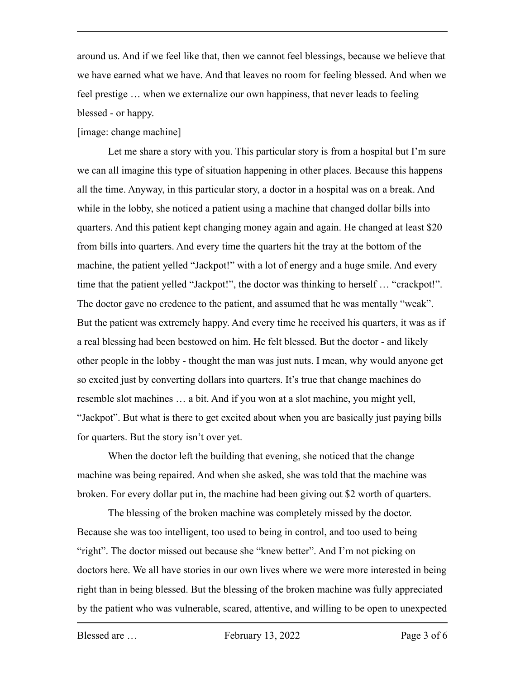around us. And if we feel like that, then we cannot feel blessings, because we believe that we have earned what we have. And that leaves no room for feeling blessed. And when we feel prestige … when we externalize our own happiness, that never leads to feeling blessed - or happy.

### [image: change machine]

Let me share a story with you. This particular story is from a hospital but I'm sure we can all imagine this type of situation happening in other places. Because this happens all the time. Anyway, in this particular story, a doctor in a hospital was on a break. And while in the lobby, she noticed a patient using a machine that changed dollar bills into quarters. And this patient kept changing money again and again. He changed at least \$20 from bills into quarters. And every time the quarters hit the tray at the bottom of the machine, the patient yelled "Jackpot!" with a lot of energy and a huge smile. And every time that the patient yelled "Jackpot!", the doctor was thinking to herself … "crackpot!". The doctor gave no credence to the patient, and assumed that he was mentally "weak". But the patient was extremely happy. And every time he received his quarters, it was as if a real blessing had been bestowed on him. He felt blessed. But the doctor - and likely other people in the lobby - thought the man was just nuts. I mean, why would anyone get so excited just by converting dollars into quarters. It's true that change machines do resemble slot machines … a bit. And if you won at a slot machine, you might yell, "Jackpot". But what is there to get excited about when you are basically just paying bills for quarters. But the story isn't over yet.

When the doctor left the building that evening, she noticed that the change machine was being repaired. And when she asked, she was told that the machine was broken. For every dollar put in, the machine had been giving out \$2 worth of quarters.

The blessing of the broken machine was completely missed by the doctor. Because she was too intelligent, too used to being in control, and too used to being "right". The doctor missed out because she "knew better". And I'm not picking on doctors here. We all have stories in our own lives where we were more interested in being right than in being blessed. But the blessing of the broken machine was fully appreciated by the patient who was vulnerable, scared, attentive, and willing to be open to unexpected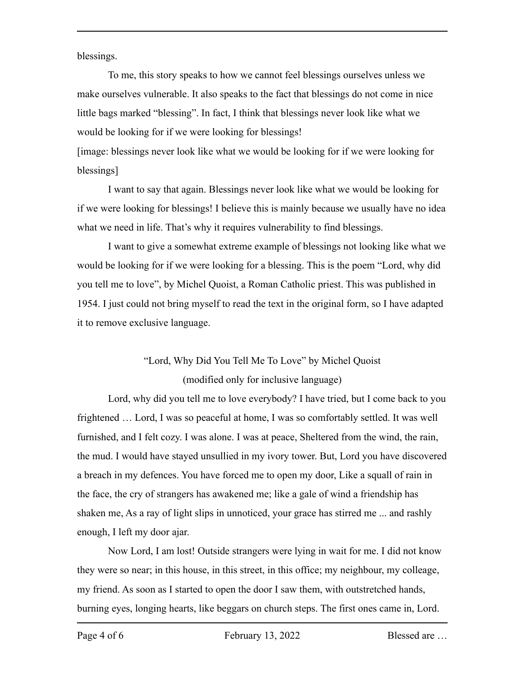blessings.

To me, this story speaks to how we cannot feel blessings ourselves unless we make ourselves vulnerable. It also speaks to the fact that blessings do not come in nice little bags marked "blessing". In fact, I think that blessings never look like what we would be looking for if we were looking for blessings!

[image: blessings never look like what we would be looking for if we were looking for blessings]

I want to say that again. Blessings never look like what we would be looking for if we were looking for blessings! I believe this is mainly because we usually have no idea what we need in life. That's why it requires vulnerability to find blessings.

I want to give a somewhat extreme example of blessings not looking like what we would be looking for if we were looking for a blessing. This is the poem "Lord, why did you tell me to love", by Michel Quoist, a Roman Catholic priest. This was published in 1954. I just could not bring myself to read the text in the original form, so I have adapted it to remove exclusive language.

# "Lord, Why Did You Tell Me To Love" by Michel Quoist

(modified only for inclusive language)

Lord, why did you tell me to love everybody? I have tried, but I come back to you frightened … Lord, I was so peaceful at home, I was so comfortably settled. It was well furnished, and I felt cozy. I was alone. I was at peace, Sheltered from the wind, the rain, the mud. I would have stayed unsullied in my ivory tower. But, Lord you have discovered a breach in my defences. You have forced me to open my door, Like a squall of rain in the face, the cry of strangers has awakened me; like a gale of wind a friendship has shaken me, As a ray of light slips in unnoticed, your grace has stirred me ... and rashly enough, I left my door ajar.

Now Lord, I am lost! Outside strangers were lying in wait for me. I did not know they were so near; in this house, in this street, in this office; my neighbour, my colleage, my friend. As soon as I started to open the door I saw them, with outstretched hands, burning eyes, longing hearts, like beggars on church steps. The first ones came in, Lord.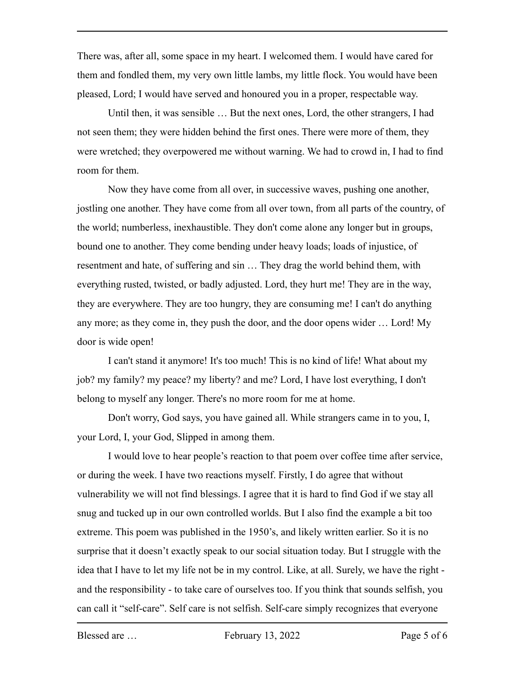There was, after all, some space in my heart. I welcomed them. I would have cared for them and fondled them, my very own little lambs, my little flock. You would have been pleased, Lord; I would have served and honoured you in a proper, respectable way.

Until then, it was sensible … But the next ones, Lord, the other strangers, I had not seen them; they were hidden behind the first ones. There were more of them, they were wretched; they overpowered me without warning. We had to crowd in, I had to find room for them.

Now they have come from all over, in successive waves, pushing one another, jostling one another. They have come from all over town, from all parts of the country, of the world; numberless, inexhaustible. They don't come alone any longer but in groups, bound one to another. They come bending under heavy loads; loads of injustice, of resentment and hate, of suffering and sin … They drag the world behind them, with everything rusted, twisted, or badly adjusted. Lord, they hurt me! They are in the way, they are everywhere. They are too hungry, they are consuming me! I can't do anything any more; as they come in, they push the door, and the door opens wider … Lord! My door is wide open!

I can't stand it anymore! It's too much! This is no kind of life! What about my job? my family? my peace? my liberty? and me? Lord, I have lost everything, I don't belong to myself any longer. There's no more room for me at home.

Don't worry, God says, you have gained all. While strangers came in to you, I, your Lord, I, your God, Slipped in among them.

I would love to hear people's reaction to that poem over coffee time after service, or during the week. I have two reactions myself. Firstly, I do agree that without vulnerability we will not find blessings. I agree that it is hard to find God if we stay all snug and tucked up in our own controlled worlds. But I also find the example a bit too extreme. This poem was published in the 1950's, and likely written earlier. So it is no surprise that it doesn't exactly speak to our social situation today. But I struggle with the idea that I have to let my life not be in my control. Like, at all. Surely, we have the right and the responsibility - to take care of ourselves too. If you think that sounds selfish, you can call it "self-care". Self care is not selfish. Self-care simply recognizes that everyone